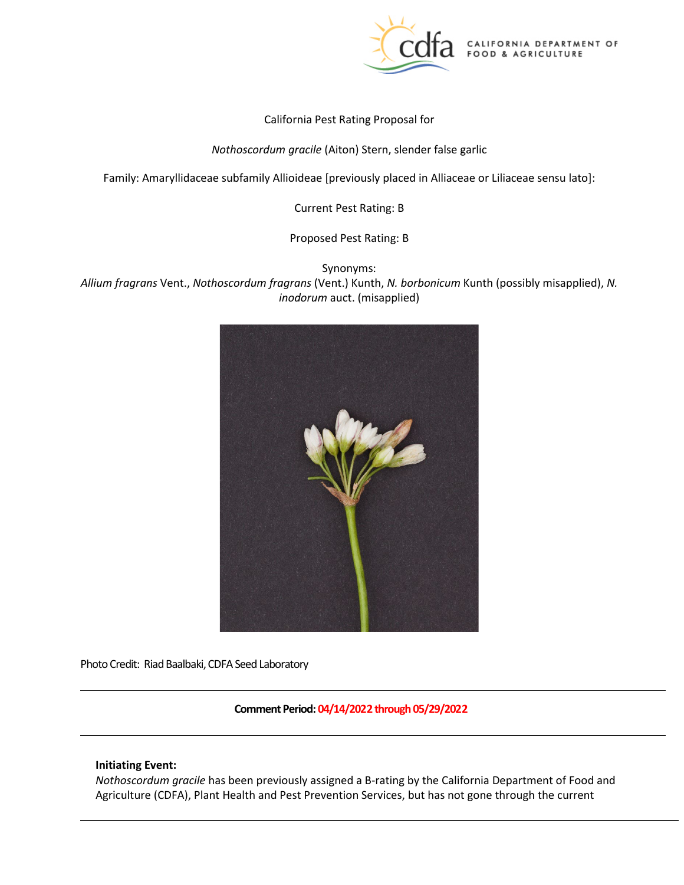

California Pest Rating Proposal for

*Nothoscordum gracile* (Aiton) Stern, slender false garlic

Family: Amaryllidaceae subfamily Allioideae [previously placed in Alliaceae or Liliaceae sensu lato]:

Current Pest Rating: B

Proposed Pest Rating: B

Synonyms:

 *[Allium fragrans](https://npgsweb.ars-grin.gov/gringlobal/taxon/taxonomydetail.aspx?id=310277)* Vent., *Nothoscordum fragrans* (Vent.) Kunth, *N. borbonicum* Kunth (possibly misapplied), *N. inodorum* auct. (misapplied)



Photo Credit: Riad Baalbaki, CDFA Seed Laboratory

**Comment Period: 04/14/2022 through 05/29/2022** 

### **Initiating Event:**

 *Nothoscordum gracile* has been previously assigned a B-rating by the California Department of Food and Agriculture (CDFA), Plant Health and Pest Prevention Services, but has not gone through the current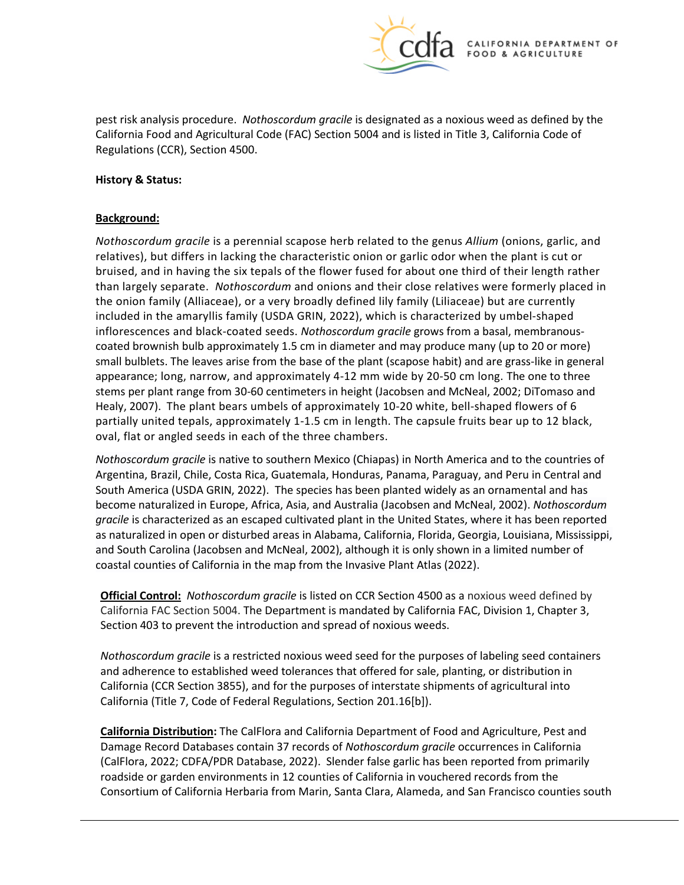

 pest risk analysis procedure. *Nothoscordum gracile* is designated as a noxious weed as defined by the California Food and Agricultural Code (FAC) Section 5004 and is listed in Title 3, California Code of Regulations (CCR), Section 4500.

### **History & Status:**

# **Background:**

 relatives), but differs in lacking the characteristic onion or garlic odor when the plant is cut or bruised, and in having the six tepals of the flower fused for about one third of their length rather than largely separate. *Nothoscordum* and onions and their close relatives were formerly placed in the onion family (Alliaceae), or a very broadly defined lily family (Liliaceae) but are currently coated brownish bulb approximately 1.5 cm in diameter and may produce many (up to 20 or more) stems per plant range from 30-60 centimeters in height (Jacobsen and McNeal, 2002; DiTomaso and Healy, 2007). The plant bears umbels of approximately 10-20 white, bell-shaped flowers of 6 partially united tepals, approximately 1-1.5 cm in length. The capsule fruits bear up to 12 black, *Nothoscordum gracile* is a perennial scapose herb related to the genus *Allium* (onions, garlic, and included in the amaryllis family (USDA GRIN, 2022), which is characterized by umbel-shaped inflorescences and black-coated seeds. *Nothoscordum gracile* grows from a basal, membranoussmall bulblets. The leaves arise from the base of the plant (scapose habit) and are grass-like in general appearance; long, narrow, and approximately 4-12 mm wide by 20-50 cm long. The one to three oval, flat or angled seeds in each of the three chambers.

 *Nothoscordum gracile* is native to southern Mexico (Chiapas) in North America and to the countries of Argentina, Brazil, Chile, Costa Rica, Guatemala, Honduras, Panama, Paraguay, and Peru in Central and South America (USDA GRIN, 2022). The species has been planted widely as an ornamental and has *gracile* is characterized as an escaped cultivated plant in the United States, where it has been reported as naturalized in open or disturbed areas in Alabama, California, Florida, Georgia, Louisiana, Mississippi, become naturalized in Europe, Africa, Asia, and Australia (Jacobsen and McNeal, 2002). *Nothoscordum*  and South Carolina (Jacobsen and McNeal, 2002), although it is only shown in a limited number of coastal counties of California in the map from the Invasive Plant Atlas (2022).

 **Official Control:** *[Nothoscordum gracile](https://npgsweb.ars-grin.gov/gringlobal/taxon/taxonomydetail.aspx?id=102285)* is listed on CCR Section 4500 as a noxious weed defined by California FAC Section 5004. The Department is mandated by California FAC, Division 1, Chapter 3, Section 403 to prevent the introduction and spread of noxious weeds.

 California (CCR Section 3855), and for the purposes of interstate shipments of agricultural into California (Title 7, Code of Federal Regulations, Section 201.16[b]). *Nothoscordum gracile* is a restricted noxious weed seed for the purposes of labeling seed containers and adherence to established weed tolerances that offered for sale, planting, or distribution in

 **California Distribution:** The CalFlora and California Department of Food and Agriculture, Pest and Damage Record Databases contain 37 records of *Nothoscordum gracile* occurrences in California (CalFlora, 2022; CDFA/PDR Database, 2022). Slender false garlic has been reported from primarily roadside or garden environments in 12 counties of California in vouchered records from the Consortium of California Herbaria from Marin, Santa Clara, Alameda, and San Francisco counties south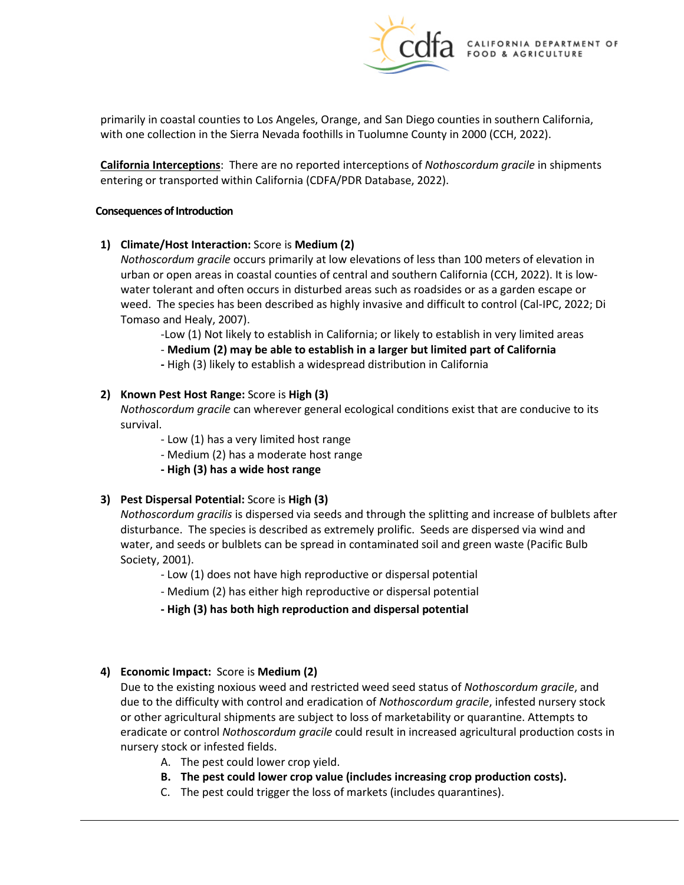with one collection in the Sierra Nevada foothills in Tuolumne County in 2000 (CCH, 2022). primarily in coastal counties to Los Angeles, Orange, and San Diego counties in southern California,

**California Interceptions**: There are no reported interceptions of *Nothoscordum gracile* in shipments entering or transported within California (CDFA/PDR Database, 2022).

### **Consequences of Introduction**

**1)** Climate/Host Interaction: Score is Medium (2)

 *Nothoscordum gracile* occurs primarily at low elevations of less than 100 meters of elevation in water tolerant and often occurs in disturbed areas such as roadsides or as a garden escape or weed. The species has been described as highly invasive and difficult to control (Cal-IPC, 2022; Di urban or open areas in coastal counties of central and southern California (CCH, 2022). It is low-Tomaso and Healy, 2007).

-Low (1) Not likely to establish in California; or likely to establish in very limited areas

 - **Medium (2) may be able to establish in a larger but limited part of California** 

**-** High (3) likely to establish a widespread distribution in California

# **2) Known Pest Host Range:** Score is **High (3)**

*[Nothoscordum gracile](https://npgsweb.ars-grin.gov/gringlobal/taxon/taxonomydetail.aspx?id=102285)* can wherever general ecological conditions exist that are conducive to its survival.

- Low (1) has a very limited host range
- Medium (2) has a moderate host range
- **- High (3) has a wide host range**

# **3) Pest Dispersal Potential:** Score is **High (3)**

 water, and seeds or bulblets can be spread in contaminated soil and green waste (Pacific Bulb *Nothoscordum gracilis* is dispersed via seeds and through the splitting and increase of bulblets after disturbance. The species is described as extremely prolific. Seeds are dispersed via wind and Society, 2001).

- Low (1) does not have high reproductive or dispersal potential

- Medium (2) has either high reproductive or dispersal potential

**- High (3) has both high reproduction and dispersal potential** 

## **4) Economic Impact:** Score is **Medium (2)**

 Due to the existing noxious weed and restricted weed seed status of *Nothoscordum gracile*, and due to the difficulty with control and eradication of *Nothoscordum gracile*, infested nursery stock or other agricultural shipments are subject to loss of marketability or quarantine. Attempts to eradicate or control *Nothoscordum gracile* could result in increased agricultural production costs in nursery stock or infested fields.

- A. The pest could lower crop yield.
- **B. The pest could lower crop value (includes increasing crop production costs).**
- C. The pest could trigger the loss of markets (includes quarantines).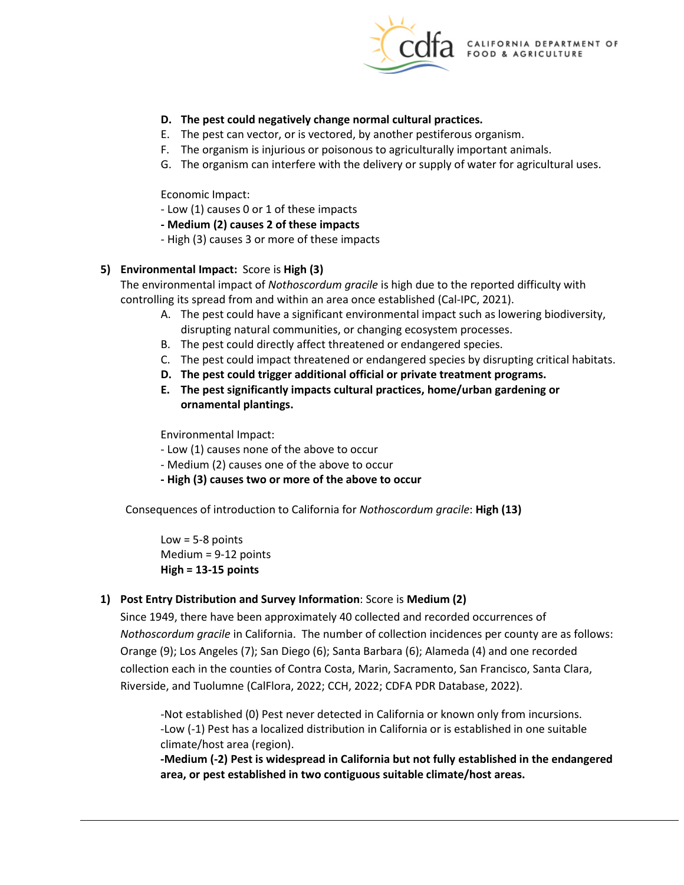

# **D. The pest could negatively change normal cultural practices.**

- E. The pest can vector, or is vectored, by another pestiferous organism.
- F. The organism is injurious or poisonous to agriculturally important animals.
- G. The organism can interfere with the delivery or supply of water for agricultural uses.

Economic Impact:

- Low (1) causes 0 or 1 of these impacts
- **- Medium (2) causes 2 of these impacts**

- High (3) causes 3 or more of these impacts

# **5) Environmental Impact:** Score is **High (3)**

 The environmental impact of *Nothoscordum gracile* is high due to the reported difficulty with controlling its spread from and within an area once established (Cal-IPC, 2021).

- A. The pest could have a significant environmental impact such as lowering biodiversity, disrupting natural communities, or changing ecosystem processes.
- B. The pest could directly affect threatened or endangered species.
- C. The pest could impact threatened or endangered species by disrupting critical habitats.
- **D. The pest could trigger additional official or private treatment programs.**
- **E. The pest significantly impacts cultural practices, home/urban gardening or ornamental plantings.**

Environmental Impact:

- Low (1) causes none of the above to occur
- Medium (2) causes one of the above to occur
- **- High (3) causes two or more of the above to occur**

 Consequences of introduction to California for *Nothoscordum gracile*: **High (13)** 

 $Low = 5-8$  points Medium = 9-12 points **High = 13-15 points** 

# **1) Post Entry Distribution and Survey Information**: Score is **Medium (2)**

 Since 1949, there have been approximately 40 collected and recorded occurrences of collection each in the counties of Contra Costa, Marin, Sacramento, San Francisco, Santa Clara, Riverside, and Tuolumne (CalFlora, 2022; CCH, 2022; CDFA PDR Database, 2022). *Nothoscordum gracile* in California. The number of collection incidences per county are as follows: Orange (9); Los Angeles (7); San Diego (6); Santa Barbara (6); Alameda (4) and one recorded

-Not established (0) Pest never detected in California or known only from incursions. -Low (-1) Pest has a localized distribution in California or is established in one suitable climate/host area (region).

 **-Medium (-2) Pest is widespread in California but not fully established in the endangered area, or pest established in two contiguous suitable climate/host areas.**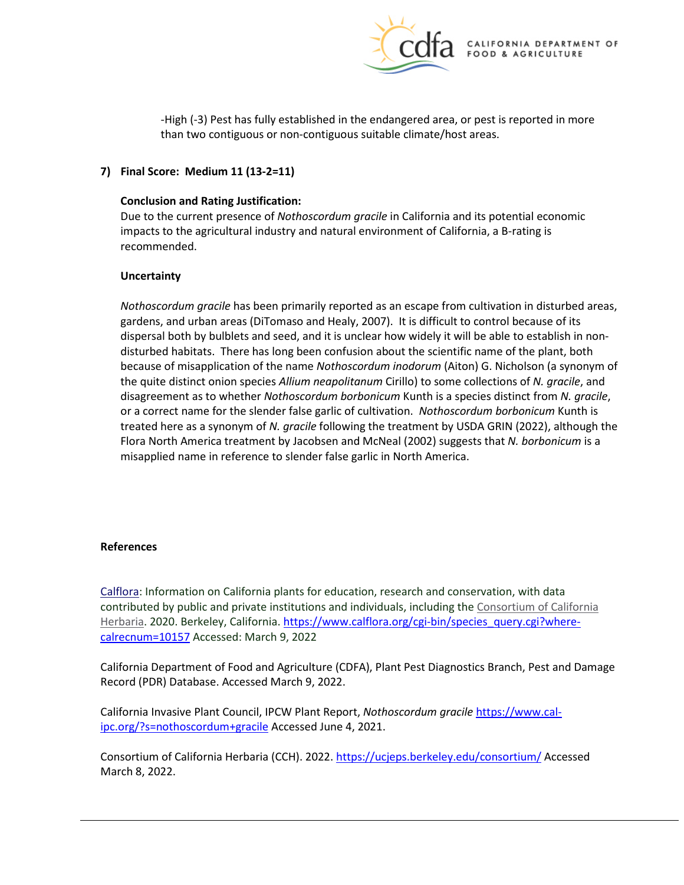

 than two contiguous or non-contiguous suitable climate/host areas. -High (-3) Pest has fully established in the endangered area, or pest is reported in more

# **7) Final Score: Medium 11 (13-2=11)**

## **Conclusion and Rating Justification:**

 impacts to the agricultural industry and natural environment of California, a B-rating is Due to the current presence of *Nothoscordum gracile* in California and its potential economic recommended.

### **Uncertainty**

 gardens, and urban areas (DiTomaso and Healy, 2007). It is difficult to control because of its dispersal both by bulblets and seed, and it is unclear how widely it will be able to establish in non- disturbed habitats. There has long been confusion about the scientific name of the plant, both because of misapplication of the name *Nothoscordum inodorum* (Aiton) G. Nicholson (a synonym of disagreement as to whether *Nothoscordum borbonicum* Kunth is a species distinct from *N. gracile*, or a correct name for the slender false garlic of cultivation. *Nothoscordum borbonicum* Kunth is Flora North America treatment by Jacobsen and McNeal (2002) suggests that *N. borbonicum* is a misapplied name in reference to slender false garlic in North America. *Nothoscordum gracile* has been primarily reported as an escape from cultivation in disturbed areas, the quite distinct onion species *Allium neapolitanum* Cirillo) to some collections of *N. gracile*, and treated here as a synonym of *N. gracile* following the treatment by USDA GRIN (2022), although the

### **References**

 [calrecnum=10157](https://www.calflora.org/cgi-bin/species_query.cgi?where-calrecnum=10157) Accessed: March 9, 2022 [Calflora:](https://www.calflora.org/) Information on California plants for education, research and conservation, with data contributed by public and private institutions and individuals, including the [Consortium of California](http://ucjeps.berkeley.edu/consortium/about.html)  [Herbaria.](http://ucjeps.berkeley.edu/consortium/about.html) 2020. Berkeley, California[. https://www.calflora.org/cgi-bin/species\\_query.cgi?where-](https://www.calflora.org/cgi-bin/species_query.cgi?where-calrecnum=10157)

 California Department of Food and Agriculture (CDFA), Plant Pest Diagnostics Branch, Pest and Damage Record (PDR) Database. Accessed March 9, 2022.

[ipc.org/?s=nothoscordum+gracile A](https://www.cal-ipc.org/?s=nothoscordum+gracile)ccessed June 4, 2021. California Invasive Plant Council, IPCW Plant Report, *Nothoscordum gracile* [https://www.cal-](https://www.cal-ipc.org/?s=nothoscordum+gracile)

Consortium of California Herbaria (CCH). 2022.<https://ucjeps.berkeley.edu/consortium/>Accessed March 8, 2022.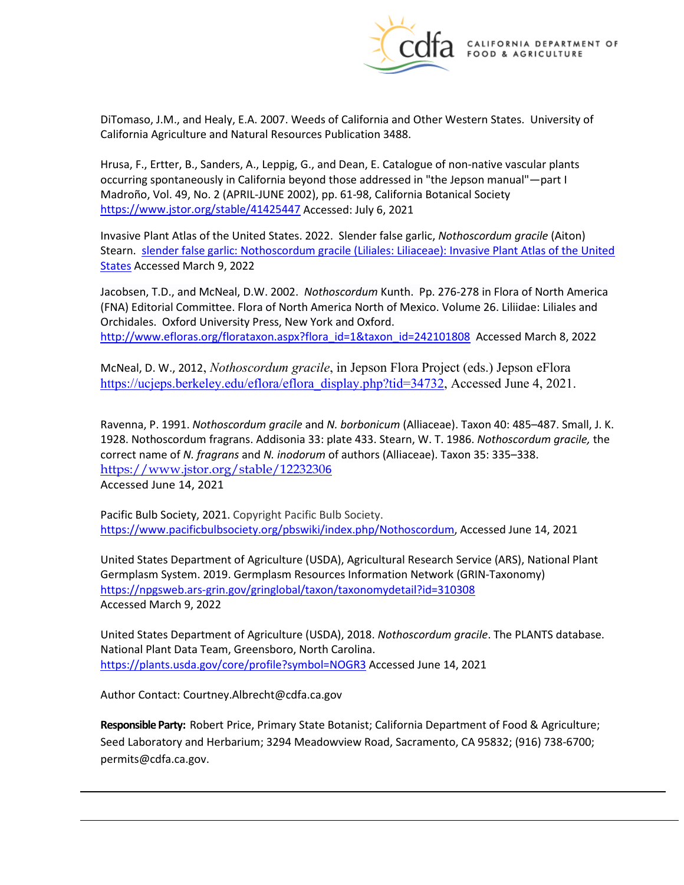

 DiTomaso, J.M., and Healy, E.A. 2007. Weeds of California and Other Western States. University of California Agriculture and Natural Resources Publication 3488.

 Hrusa, F., Ertter, B., Sanders, A., Leppig, G., and Dean, E. Catalogue of non-native vascular plants occurring spontaneously in California beyond those addressed in "the Jepson manual"—part I Madroño, Vol. 49, No. 2 (APRIL-JUNE 2002), pp. 61-98, California Botanical Society <https://www.jstor.org/stable/41425447>Accessed: July 6, 2021

 Invasive Plant Atlas of the United States. 2022. Slender false garlic, *Nothoscordum gracile* (Aiton) Stearn. slender false garlic: Nothoscordum gracile (Liliales: Liliaceae): Invasive Plant Atlas of the United [States](https://www.invasiveplantatlas.org/subject.html?sub=48953) Accessed March 9, 2022

 Jacobsen, T.D., and McNeal, D.W. 2002. *Nothoscordum* Kunth. Pp. 276-278 in Flora of North America (FNA) Editorial Committee. Flora of North America North of Mexico. Volume 26. Liliidae: Liliales and Orchidales. Oxford University Press, New York and Oxford. [http://www.efloras.org/florataxon.aspx?flora\\_id=1&taxon\\_id=242101808](http://www.efloras.org/florataxon.aspx?flora_id=1&taxon_id=242101808) Accessed March 8, 2022

McNeal, D. W., 2012, *Nothoscordum gracile*, in Jepson Flora Project (eds.) Jepson eFlora<br>[https://ucjeps.berkeley.edu/eflora/eflora\\_display.php?tid=34732,](https://ucjeps.berkeley.edu/eflora/eflora_display.php?tid=34732) Accessed June 4, 2021.

 Ravenna, P. 1991. *Nothoscordum gracile* and *N. borbonicum* (Alliaceae). Taxon 40: 485–487. Small, J. K. 1928. Nothoscordum fragrans. Addisonia 33: plate 433. Stearn, W. T. 1986. *Nothoscordum gracile,* the correct name of *N. fragrans* and *N. inodorum* of authors (Alliaceae). Taxon 35: 335–338. [https://www.jstor.org/stable/1223230](https://www.jstor.org/stable/12232306)[6](https://www.jstor.org/stable/12232306)  Accessed June 14, 2021

Pacific Bulb Society, 2021. Copyright Pacific Bulb Society. [https://www.pacificbulbsociety.org/pbswiki/index.php/Nothoscordum,](https://www.pacificbulbsociety.org/pbswiki/index.php/Nothoscordum4) Accessed June 14, 2021

 Germplasm System. 2019. Germplasm Resources Information Network (GRIN-Taxonomy) United States Department of Agriculture (USDA), Agricultural Research Service (ARS), National Plant <https://npgsweb.ars-grin.gov/gringlobal/taxon/taxonomydetail?id=310308> Accessed March 9, 2022

<https://plants.usda.gov/core/profile?symbol=NOGR3>Accessed June 14, 2021 United States Department of Agriculture (USDA), 2018. *Nothoscordum gracile*. The PLANTS database. National Plant Data Team, Greensboro, North Carolina.

Author Contact: [Courtney.Albrecht@cdfa.ca.gov](mailto:Courtney.Albrecht@cdfa.ca.gov)

 **Responsible Party:** Robert Price, Primary State Botanist; California Department of Food & Agriculture; Seed Laboratory and Herbarium; 3294 Meadowview Road, Sacramento, CA 95832; (916) 738-6700; [permits@cdfa.ca.gov.](mailto:permits@cdfa.ca.gov)